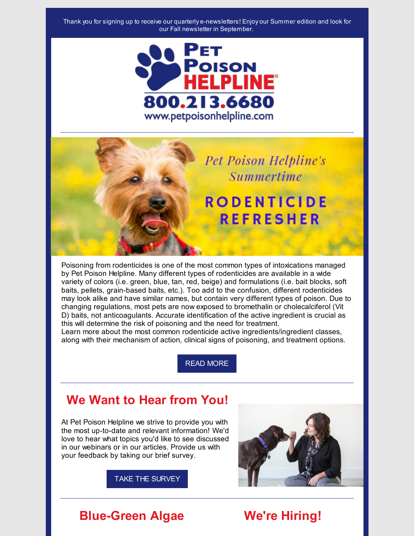



Poisoning from rodenticides is one of the most common types of intoxications managed by Pet Poison Helpline. Many different types of rodenticides are available in a wide variety of colors (i.e. green, blue, tan, red, beige) and formulations (i.e. bait blocks, soft baits, pellets, grain-based baits, etc.). Too add to the confusion, different rodenticides may look alike and have similar names, but contain very different types of poison. Due to changing regulations, most pets are now exposed to bromethalin or cholecalciferol (Vit D) baits, not anticoagulants. Accurate identification of the active ingredient is crucial as this will determine the risk of poisoning and the need for treatment.

Learn more about the most common rodenticide active ingredients/ingredient classes, along with their mechanism of action, clinical signs of poisoning, and treatment options.

READ [MORE](https://www.petpoisonhelpline.com/veterinarian-tips/rodenticide-refresher-for-veterinary-professionals/)

# **We Want to Hear from You!**

At Pet Poison Helpline we strive to provide you with the most up-to-date and relevant information! We'd love to hear what topics you'd like to see discussed in our webinars or in our articles. Provide us with your feedback by taking our brief survey.



TAKE THE [SURVEY](https://forms.gle/rCYshqknNz4m48Tr7)

### **Blue-Green Algae We're Hiring!**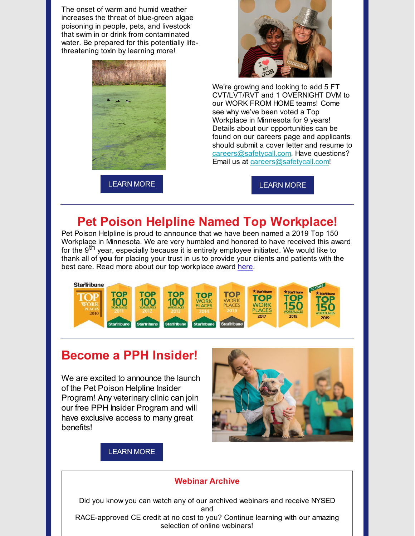The onset of warm and humid weather increases the threat of blue-green algae poisoning in people, pets, and livestock that swim in or drink from contaminated water. Be prepared for this potentially lifethreatening toxin by learning more!



[LEARN](https://files.constantcontact.com/0927d35e501/04b0bd69-facd-4262-8e12-5d8a0efd499c.pdf) MORE



We're growing and looking to add 5 FT CVT/LVT/RVT and 1 OVERNIGHT DVM to our WORK FROM HOME teams! Come see why we've been voted a Top Workplace in Minnesota for 9 years! Details about our opportunities can be found on our careers page and applicants should submit a cover letter and resume to [careers@safetycall.com](mailto:careers@safetycall.com). Have questions? Email us at [careers@safetycall.com](mailto:careers@safetycall.com)!

[LEARN](https://www.petpoisonhelpline.com/careers/) MORE

# **Pet Poison Helpline Named Top Workplace!**

Pet Poison Helpline is proud to announce that we have been named a 2019 Top 150 Workplace in Minnesota. We are very humbled and honored to have received this award for the 9<sup>th</sup> year, especially because it is entirely employee initiated. We would like to thank all of **you** for placing your trust in us to provide your clients and patients with the best care. Read more about our top workplace award [here](http://www.startribune.com/top-workplaces/510737631/).



## **Become a PPH Insider!**

We are excited to announce the launch of the Pet Poison Helpline Insider Program! Any veterinary clinic can join our free PPH Insider Program and will have exclusive access to many great benefits!



#### [LEARN](https://www.petpoisonhelpline.com/veterinarians/pet-poison-helpline-insider/) MORE

#### **Webinar Archive**

Did you know you can watch any of our archived webinars and receive NYSED and RACE-approved CE credit at no cost to you? Continue learning with our amazing selection of online webinars!